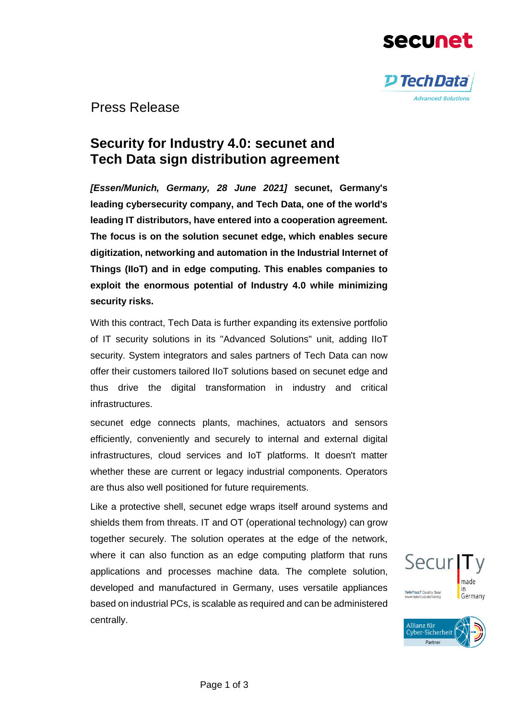



Press Release

# **Security for Industry 4.0: secunet and Tech Data sign distribution agreement**

*[Essen/Munich, Germany, 28 June 2021]* **secunet, Germany's leading cybersecurity company, and Tech Data, one of the world's leading IT distributors, have entered into a cooperation agreement. The focus is on the solution secunet edge, which enables secure digitization, networking and automation in the Industrial Internet of Things (IIoT) and in edge computing. This enables companies to exploit the enormous potential of Industry 4.0 while minimizing security risks.** 

With this contract, Tech Data is further expanding its extensive portfolio of IT security solutions in its "Advanced Solutions" unit, adding IIoT security. System integrators and sales partners of Tech Data can now offer their customers tailored IIoT solutions based on secunet edge and thus drive the digital transformation in industry and critical infrastructures.

secunet edge connects plants, machines, actuators and sensors efficiently, conveniently and securely to internal and external digital infrastructures, cloud services and IoT platforms. It doesn't matter whether these are current or legacy industrial components. Operators are thus also well positioned for future requirements.

Like a protective shell, secunet edge wraps itself around systems and shields them from threats. IT and OT (operational technology) can grow together securely. The solution operates at the edge of the network, where it can also function as an edge computing platform that runs applications and processes machine data. The complete solution, developed and manufactured in Germany, uses versatile appliances based on industrial PCs, is scalable as required and can be administered centrally.



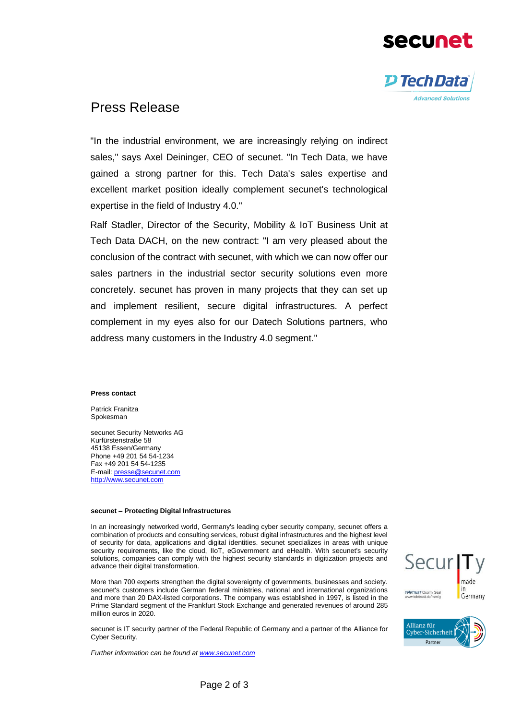



Press Release

"In the industrial environment, we are increasingly relying on indirect sales," says Axel Deininger, CEO of secunet. "In Tech Data, we have gained a strong partner for this. Tech Data's sales expertise and excellent market position ideally complement secunet's technological expertise in the field of Industry 4.0."

Ralf Stadler, Director of the Security, Mobility & IoT Business Unit at Tech Data DACH, on the new contract: "I am very pleased about the conclusion of the contract with secunet, with which we can now offer our sales partners in the industrial sector security solutions even more concretely. secunet has proven in many projects that they can set up and implement resilient, secure digital infrastructures. A perfect complement in my eyes also for our Datech Solutions partners, who address many customers in the Industry 4.0 segment."

#### **Press contact**

Patrick Franitza Spokesman

secunet Security Networks AG Kurfürstenstraße 58 45138 Essen/Germany Phone +49 201 54 54-1234 Fax +49 201 54 54-1235 E-mail[: presse@secunet.com](file://///VERWALTUNG/verwaltung/Verwaltung/Marketing/_Intern/neue%20Laufwerkstruktur/PR%20(Christine,%20Patrick)/2014/Pressemeldungen/Final/presse@secunet.com) [http://www.secunet.com](http://www.secunet.com/)

#### **secunet – Protecting Digital Infrastructures**

In an increasingly networked world, Germany's leading cyber security company, secunet offers a combination of products and consulting services, robust digital infrastructures and the highest level of security for data, applications and digital identities. secunet specializes in areas with unique security requirements, like the cloud, IIoT, eGovernment and eHealth. With secunet's security solutions, companies can comply with the highest security standards in digitization projects and advance their digital transformation.

More than 700 experts strengthen the digital sovereignty of governments, businesses and society. secunet's customers include German federal ministries, national and international organizations and more than 20 DAX-listed corporations. The company was established in 1997, is listed in the Prime Standard segment of the Frankfurt Stock Exchange and generated revenues of around 285 million euros in 2020.

secunet is IT security partner of the Federal Republic of Germany and a partner of the Alliance for Cyber Security.

*Further information can be found a[t www.secunet.com](http://www.secunet.com/)*

Secur made TeleTrusT Quality Seal